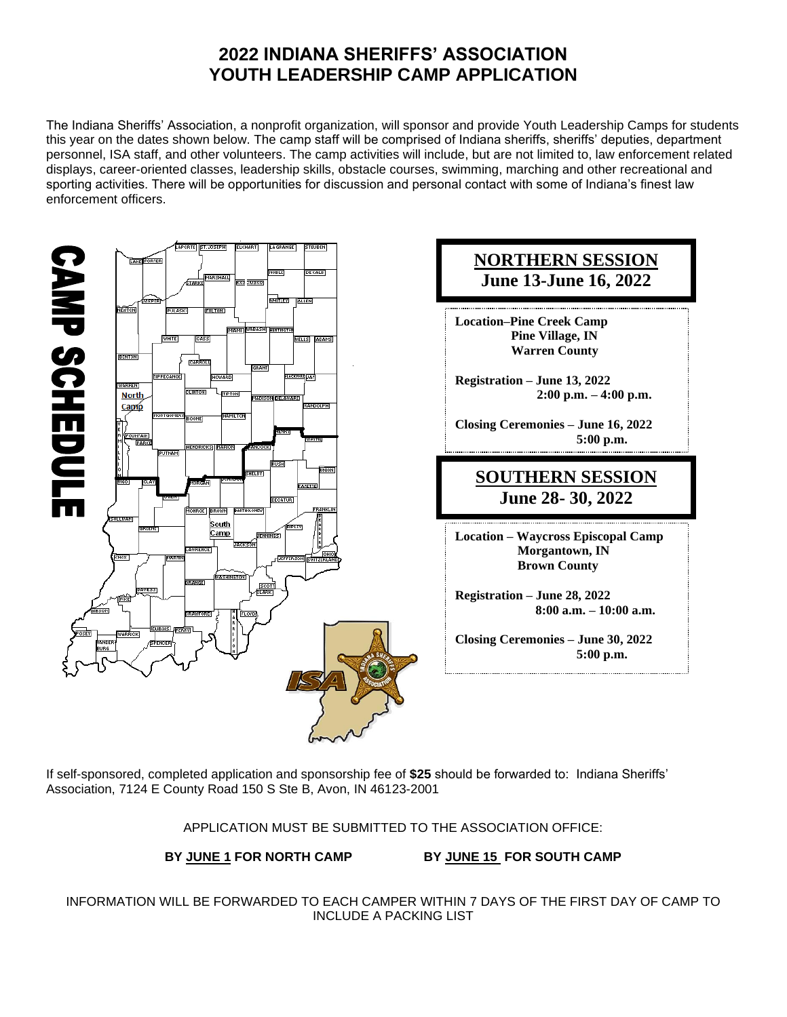# **2022 INDIANA SHERIFFS' ASSOCIATION YOUTH LEADERSHIP CAMP APPLICATION**

The Indiana Sheriffs' Association, a nonprofit organization, will sponsor and provide Youth Leadership Camps for students this year on the dates shown below. The camp staff will be comprised of Indiana sheriffs, sheriffs' deputies, department personnel, ISA staff, and other volunteers. The camp activities will include, but are not limited to, law enforcement related displays, career-oriented classes, leadership skills, obstacle courses, swimming, marching and other recreational and sporting activities. There will be opportunities for discussion and personal contact with some of Indiana's finest law enforcement officers.



If self-sponsored, completed application and sponsorship fee of **\$25** should be forwarded to: Indiana Sheriffs' Association, 7124 E County Road 150 S Ste B, Avon, IN 46123-2001

APPLICATION MUST BE SUBMITTED TO THE ASSOCIATION OFFICE:

**BY JUNE 1 FOR NORTH CAMP BY JUNE 15 FOR SOUTH CAMP**

INFORMATION WILL BE FORWARDED TO EACH CAMPER WITHIN 7 DAYS OF THE FIRST DAY OF CAMP TO INCLUDE A PACKING LIST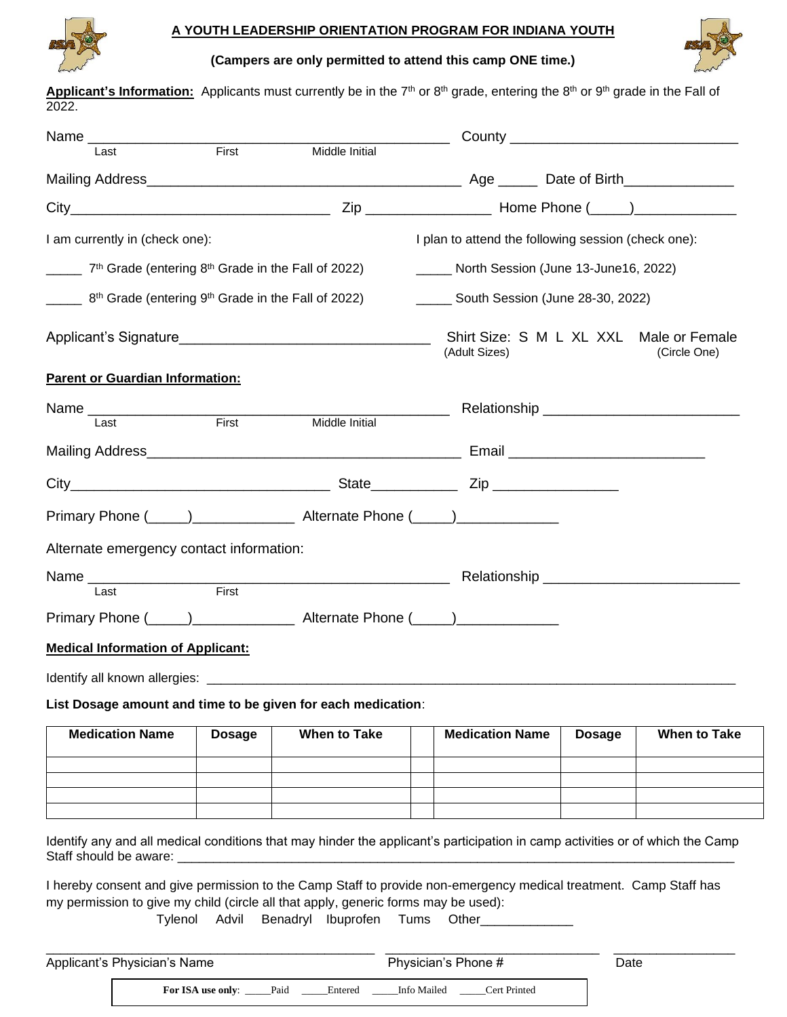

### **A YOUTH LEADERSHIP ORIENTATION PROGRAM FOR INDIANA YOUTH**

**(Campers are only permitted to attend this camp ONE time.)**



Applicant's Information: Applicants must currently be in the 7<sup>th</sup> or 8<sup>th</sup> grade, entering the 8<sup>th</sup> or 9<sup>th</sup> grade in the Fall of 2022.

| Name 1 ast First                                                                                                              |               |                     | $\overline{\phantom{a}}$                                                                                                                                                                                                       |                                                         |                     |  |  |  |
|-------------------------------------------------------------------------------------------------------------------------------|---------------|---------------------|--------------------------------------------------------------------------------------------------------------------------------------------------------------------------------------------------------------------------------|---------------------------------------------------------|---------------------|--|--|--|
|                                                                                                                               |               | Middle Initial      |                                                                                                                                                                                                                                |                                                         |                     |  |  |  |
|                                                                                                                               |               |                     |                                                                                                                                                                                                                                |                                                         |                     |  |  |  |
|                                                                                                                               |               |                     |                                                                                                                                                                                                                                |                                                         |                     |  |  |  |
| I am currently in (check one):                                                                                                |               |                     | I plan to attend the following session (check one):                                                                                                                                                                            |                                                         |                     |  |  |  |
| 7 <sup>th</sup> Grade (entering 8 <sup>th</sup> Grade in the Fall of 2022)                                                    |               |                     | North Session (June 13-June 16, 2022)                                                                                                                                                                                          |                                                         |                     |  |  |  |
| 8 <sup>th</sup> Grade (entering 9 <sup>th</sup> Grade in the Fall of 2022)                                                    |               |                     | <b>South Session (June 28-30, 2022)</b>                                                                                                                                                                                        |                                                         |                     |  |  |  |
|                                                                                                                               |               |                     | (Adult Sizes)                                                                                                                                                                                                                  | Shirt Size: S M L XL XXL Male or Female<br>(Circle One) |                     |  |  |  |
| <b>Parent or Guardian Information:</b>                                                                                        |               |                     |                                                                                                                                                                                                                                |                                                         |                     |  |  |  |
| Name<br>last First                                                                                                            |               | Middle Initial      |                                                                                                                                                                                                                                |                                                         |                     |  |  |  |
|                                                                                                                               |               |                     |                                                                                                                                                                                                                                |                                                         |                     |  |  |  |
|                                                                                                                               |               |                     |                                                                                                                                                                                                                                |                                                         |                     |  |  |  |
| Primary Phone (1, 2002) 2012 2022 Alternate Phone (2, 2008) 2022 2022 2023                                                    |               |                     |                                                                                                                                                                                                                                |                                                         |                     |  |  |  |
| Alternate emergency contact information:                                                                                      |               |                     |                                                                                                                                                                                                                                |                                                         |                     |  |  |  |
|                                                                                                                               |               |                     | Name Last First First Relationship Last Last Contract Contract Contract Contract Contract Contract Contract Contract Contract Contract Contract Contract Contract Contract Contract Contract Contract Contract Contract Contra |                                                         |                     |  |  |  |
| Primary Phone (1, 2002) 2012 2022 Alternate Phone (2, 2008) 2022 2022 2023                                                    |               |                     |                                                                                                                                                                                                                                |                                                         |                     |  |  |  |
|                                                                                                                               |               |                     |                                                                                                                                                                                                                                |                                                         |                     |  |  |  |
| <b>Medical Information of Applicant:</b>                                                                                      |               |                     |                                                                                                                                                                                                                                |                                                         |                     |  |  |  |
|                                                                                                                               |               |                     |                                                                                                                                                                                                                                |                                                         |                     |  |  |  |
| List Dosage amount and time to be given for each medication:                                                                  |               |                     |                                                                                                                                                                                                                                |                                                         |                     |  |  |  |
| <b>Medication Name</b>                                                                                                        | <b>Dosage</b> | <b>When to Take</b> | <b>Medication Name</b>                                                                                                                                                                                                         | <b>Dosage</b>                                           | <b>When to Take</b> |  |  |  |
|                                                                                                                               |               |                     |                                                                                                                                                                                                                                |                                                         |                     |  |  |  |
|                                                                                                                               |               |                     |                                                                                                                                                                                                                                |                                                         |                     |  |  |  |
|                                                                                                                               |               |                     |                                                                                                                                                                                                                                |                                                         |                     |  |  |  |
| Identify any and all medical conditions that may hinder the applicant's participation in camp activities or of which the Camp |               |                     |                                                                                                                                                                                                                                |                                                         |                     |  |  |  |
| Staff should be aware: ______                                                                                                 |               |                     |                                                                                                                                                                                                                                |                                                         |                     |  |  |  |

I hereby consent and give permission to the Camp Staff to provide non-emergency medical treatment. Camp Staff has my permission to give my child (circle all that apply, generic forms may be used):

Tylenol Advil Benadryl Ibuprofen Tums Other\_\_\_\_\_\_\_\_\_\_\_\_\_

| Applicant's Physician's Name |                               |  |         |             | Physician's Phone # |  |  |  |
|------------------------------|-------------------------------|--|---------|-------------|---------------------|--|--|--|
|                              | <b>For ISA use only:</b> Paid |  | Entered | Info Mailed | Cert Printed        |  |  |  |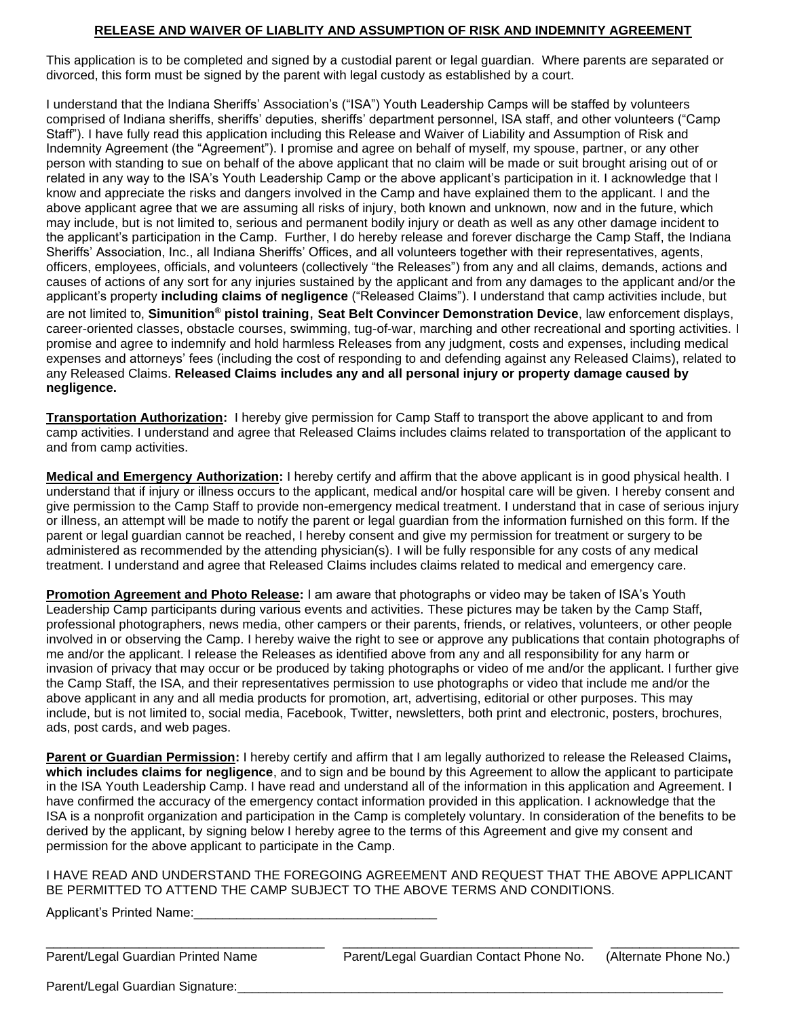#### **RELEASE AND WAIVER OF LIABLITY AND ASSUMPTION OF RISK AND INDEMNITY AGREEMENT**

This application is to be completed and signed by a custodial parent or legal guardian. Where parents are separated or divorced, this form must be signed by the parent with legal custody as established by a court.

I understand that the Indiana Sheriffs' Association's ("ISA") Youth Leadership Camps will be staffed by volunteers comprised of Indiana sheriffs, sheriffs' deputies, sheriffs' department personnel, ISA staff, and other volunteers ("Camp Staff"). I have fully read this application including this Release and Waiver of Liability and Assumption of Risk and Indemnity Agreement (the "Agreement"). I promise and agree on behalf of myself, my spouse, partner, or any other person with standing to sue on behalf of the above applicant that no claim will be made or suit brought arising out of or related in any way to the ISA's Youth Leadership Camp or the above applicant's participation in it. I acknowledge that I know and appreciate the risks and dangers involved in the Camp and have explained them to the applicant. I and the above applicant agree that we are assuming all risks of injury, both known and unknown, now and in the future, which may include, but is not limited to, serious and permanent bodily injury or death as well as any other damage incident to the applicant's participation in the Camp. Further, I do hereby release and forever discharge the Camp Staff, the Indiana Sheriffs' Association, Inc., all Indiana Sheriffs' Offices, and all volunteers together with their representatives, agents, officers, employees, officials, and volunteers (collectively "the Releases") from any and all claims, demands, actions and causes of actions of any sort for any injuries sustained by the applicant and from any damages to the applicant and/or the applicant's property **including claims of negligence** ("Released Claims"). I understand that camp activities include, but are not limited to, **Simunition® pistol training**, **Seat Belt Convincer Demonstration Device**, law enforcement displays, career-oriented classes, obstacle courses, swimming, tug-of-war, marching and other recreational and sporting activities. I promise and agree to indemnify and hold harmless Releases from any judgment, costs and expenses, including medical expenses and attorneys' fees (including the cost of responding to and defending against any Released Claims), related to any Released Claims. **Released Claims includes any and all personal injury or property damage caused by negligence.**

**Transportation Authorization:** I hereby give permission for Camp Staff to transport the above applicant to and from camp activities. I understand and agree that Released Claims includes claims related to transportation of the applicant to and from camp activities.

**Medical and Emergency Authorization:** I hereby certify and affirm that the above applicant is in good physical health. I understand that if injury or illness occurs to the applicant, medical and/or hospital care will be given. I hereby consent and give permission to the Camp Staff to provide non-emergency medical treatment. I understand that in case of serious injury or illness, an attempt will be made to notify the parent or legal guardian from the information furnished on this form. If the parent or legal guardian cannot be reached, I hereby consent and give my permission for treatment or surgery to be administered as recommended by the attending physician(s). I will be fully responsible for any costs of any medical treatment. I understand and agree that Released Claims includes claims related to medical and emergency care.

**Promotion Agreement and Photo Release:** I am aware that photographs or video may be taken of ISA's Youth Leadership Camp participants during various events and activities. These pictures may be taken by the Camp Staff, professional photographers, news media, other campers or their parents, friends, or relatives, volunteers, or other people involved in or observing the Camp. I hereby waive the right to see or approve any publications that contain photographs of me and/or the applicant. I release the Releases as identified above from any and all responsibility for any harm or invasion of privacy that may occur or be produced by taking photographs or video of me and/or the applicant. I further give the Camp Staff, the ISA, and their representatives permission to use photographs or video that include me and/or the above applicant in any and all media products for promotion, art, advertising, editorial or other purposes. This may include, but is not limited to, social media, Facebook, Twitter, newsletters, both print and electronic, posters, brochures, ads, post cards, and web pages.

**Parent or Guardian Permission:** I hereby certify and affirm that I am legally authorized to release the Released Claims**, which includes claims for negligence**, and to sign and be bound by this Agreement to allow the applicant to participate in the ISA Youth Leadership Camp. I have read and understand all of the information in this application and Agreement. I have confirmed the accuracy of the emergency contact information provided in this application. I acknowledge that the ISA is a nonprofit organization and participation in the Camp is completely voluntary. In consideration of the benefits to be derived by the applicant, by signing below I hereby agree to the terms of this Agreement and give my consent and permission for the above applicant to participate in the Camp.

I HAVE READ AND UNDERSTAND THE FOREGOING AGREEMENT AND REQUEST THAT THE ABOVE APPLICANT BE PERMITTED TO ATTEND THE CAMP SUBJECT TO THE ABOVE TERMS AND CONDITIONS.

Applicant's Printed Name:

\_\_\_\_\_\_\_\_\_\_\_\_\_\_\_\_\_\_\_\_\_\_\_\_\_\_\_\_\_\_\_\_\_\_\_\_\_\_\_ \_\_\_\_\_\_\_\_\_\_\_\_\_\_\_\_\_\_\_\_\_\_\_\_\_\_\_\_\_\_\_\_\_\_\_ \_\_\_\_\_\_\_\_\_\_\_\_\_\_\_\_\_\_ Parent/Legal Guardian Printed Name **Parent/Legal Guardian Contact Phone No.** (Alternate Phone No.)

Parent/Legal Guardian Signature: